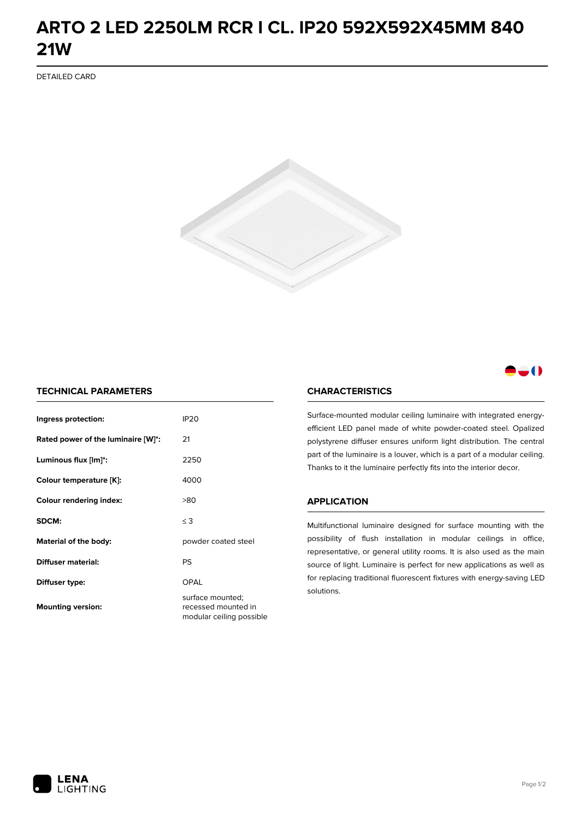## **ARTO 2 LED 2250LM RCR I CL. IP20 592X592X45MM 840 21W**

DETAILED CARD



### -0

#### **TECHNICAL PARAMETERS**

| Ingress protection:                | <b>IP20</b>                                                         |
|------------------------------------|---------------------------------------------------------------------|
| Rated power of the luminaire [W]*: | 21                                                                  |
| Luminous flux [lm]*:               | 2250                                                                |
| Colour temperature [K]:            | 4000                                                                |
| <b>Colour rendering index:</b>     | >80                                                                 |
| SDCM:                              | $\leq$ 3                                                            |
| Material of the body:              | powder coated steel                                                 |
| Diffuser material:                 | PS                                                                  |
| Diffuser type:                     | OPAL                                                                |
| <b>Mounting version:</b>           | surface mounted;<br>recessed mounted in<br>modular ceiling possible |

#### **CHARACTERISTICS**

Surface-mounted modular ceiling luminaire with integrated energyefficient LED panel made of white powder-coated steel. Opalized polystyrene diffuser ensures uniform light distribution. The central part of the luminaire is a louver, which is a part of a modular ceiling. Thanks to it the luminaire perfectly fits into the interior decor.

#### **APPLICATION**

Multifunctional luminaire designed for surface mounting with the possibility of flush installation in modular ceilings in office, representative, or general utility rooms. It is also used as the main source of light. Luminaire is perfect for new applications as well as for replacing traditional fluorescent fixtures with energy-saving LED solutions.